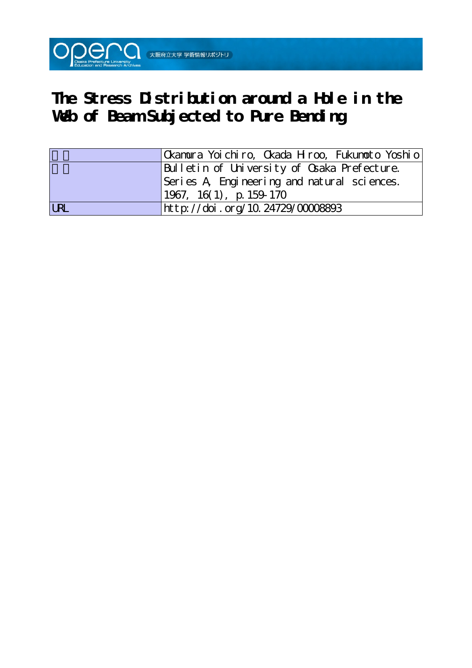

# **The Stress Distribution around a Hole in the** Web of Beam Subjected to Pure Bending

|            | Okamura Yoichiro, Okada Hiroo, Fukumoto Yoshio |
|------------|------------------------------------------------|
|            | Bulletin of University of Osaka Prefecture.    |
|            | Series A Engineering and natural sciences.     |
|            | $1967, 16(1)$ , p. 159-170                     |
| <b>LRL</b> | http://doi.org/10.24729/00008893               |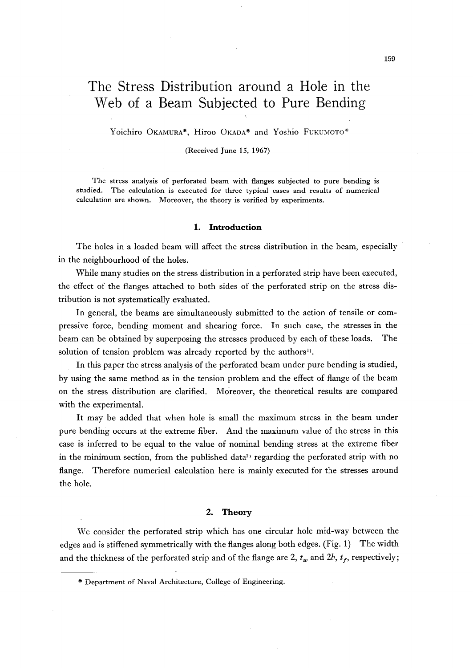## The Stress Distribution around a Hole in the Web of a Beam Subjected to Pure Bending

Yoichiro OKAMURA\*, Hiroo OKADA\* and Yoshio FUKUMOTO\*

 $\mathcal{L}_\text{G}$  and  $\mathcal{L}_\text{G}$  are the set of the set of the set of the set of the set of the set of the set of the set of the set of the set of the set of the set of the set of the set of the set of the set of the set o

(Received June 15, 1967)

The stress analysis of perforated beam with flanges subjected to pure bending is studied. The calculation is executed for three typical cases and results of numerical calculation are shown. Moreover, the theory is verified by experiments.

#### 1. Introduction

The holes in a loaded beam will affect the stress distribution in the beam, especially in the neighbourhood of the holes.

 While many studies on the stress distribution in a perforated strip have been executed, the effect of the flanges attached to both sides of the perforated strip on the stress distribution is not systematically evaluated.

 In general, the beams are simultaneously submitted to the action of tensile or compressive force, bending moment and shearing force. In such case, the stresses in the beam can be obtained by superposing the stresses produced by each of these loads. The solution of tension problem was already reported by the authors<sup>1</sup>).

In this paper the stress analysis of the perforated beam under pure bending is studied, by using the same method as in the tension problem and the effect of flange of the beam on the stress distribution are clarified. Moreover, the theoretical results are compared with the experimental.

 It may be added that when hole is small the maximum stress in the beam under pure bending occurs at the extreme fiber. And the maximum value of the stress in this case is inferred to be equal to the value of nominal bending stress at the extreme fiber in the minimum section, from the published data<sup>2</sup> regarding the perforated strip with no flange. Therefore numerical calculation here is mainly executed for the stresses around the hole.

#### 2. Theory

 We consider the perforated strip which has one circular hole mid-way between the edges and is stiffened symmetrica!ly with the flanges along both edges. (Fig. 1) The width and the thickness of the perforated strip and of the flange are 2,  $t_w$  and  $2b$ ,  $t_f$ , respectively;

\* Department of Naval Architecture, Co]lege of Engineering.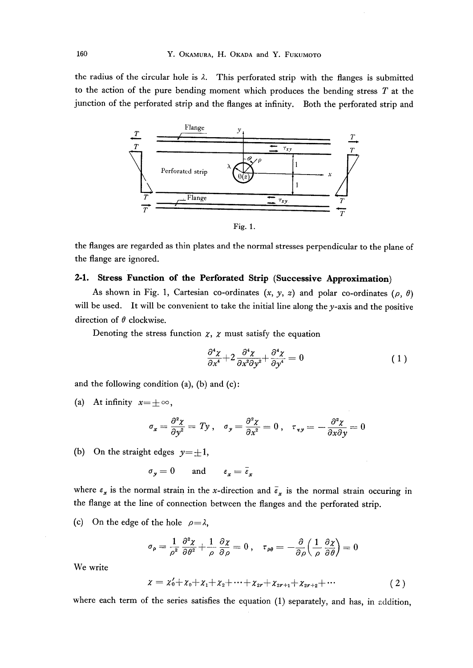the radius of the circular hole is  $\lambda$ . This perforated strip with the flanges is submitted to the action of the pure bending moment which produces the bending stress  $T$  at the junction of the perforated strip and the flanges at infinity. Both the perforated strip and



the flanges are regarded as thin plates and the normal stresses perpendicular to the plane of the flange are ignored.

## 2-1. Stress Function of the Perforated Strip (Successive Approximation)

As shown in Fig. 1, Cartesian co-ordinates  $(x, y, z)$  and polar co-ordinates ( $\rho$ ,  $\theta$ ) will be used. It will be convenient to take the initial line along the  $y$ -axis and the positive direction of  $\theta$  clockwise.

Denoting the stress function  $x$ ,  $x$  must satisfy the equation

$$
\frac{\partial^4 \chi}{\partial x^4} + 2 \frac{\partial^4 \chi}{\partial x^2 \partial y^2} + \frac{\partial^4 \chi}{\partial y^4} = 0 \tag{1}
$$

and the following condition  $(a)$ ,  $(b)$  and  $(c)$ :

(a) At infinity  $x = \pm \infty$ ,

$$
\sigma_{\pmb{x}}=\frac{\partial^2 \pmb{\chi}}{\partial \pmb{y^2}}=\emph{T}\pmb{y}\;,\quad \sigma_{\pmb{y}}=\frac{\partial^2 \pmb{\chi}}{\partial x^2}=0\;,\quad \tau_{\pmb{\cdot}\pmb{v}\pmb{y}}=-\frac{\partial^2 \pmb{\chi}}{\partial x \partial y}=0
$$

(b) On the straight edges  $y = \pm 1$ ,

$$
\sigma_{y} = 0 \qquad \text{and} \qquad \varepsilon_{x} = \bar{\varepsilon}_{x}
$$

where  $\varepsilon_x$  is the normal strain in the x-direction and  $\bar{\varepsilon}_x$  is the normal strain occuring in the flange at the line of connection between the flanges and the perforated strip.

(c) On the edge of the hole  $\rho = \lambda$ ,

$$
\sigma_{\rho}=\frac{1}{\rho^2}\frac{\partial^2\chi}{\partial\theta^2}{+}\frac{1}{\rho}\frac{\partial\chi}{\partial\rho}=0\ ,\quad \tau_{\rho\theta}=-\frac{\partial}{\partial\rho}\Big(\frac{1}{\rho}\frac{\partial\chi}{\partial\theta}\Big)=0
$$

We write

$$
x = x'_0 + x_0 + x_1 + x_2 + \dots + x_{2r} + x_{2r+1} + x_{2r+2} + \dots \tag{2}
$$

where each term of the series satisfies the equation (1) separately, and has, in addition,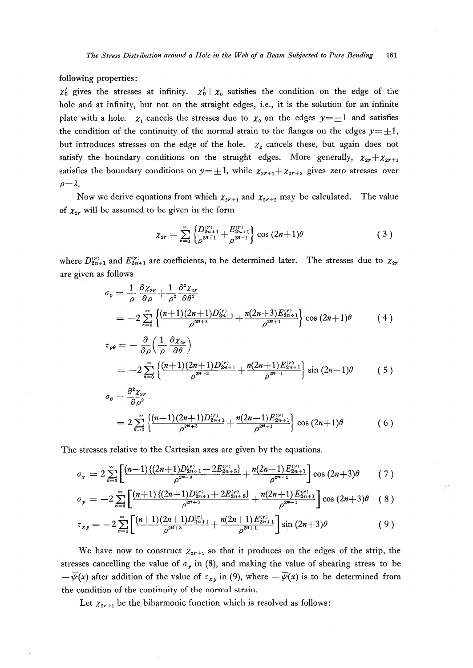following properties:

 $\chi'_0$  gives the stresses at infinity.  $\chi'_0 + \chi_0$  satisfies the condition on the edge of the hole and at infinity, but not on the straight edges, i.e., it is the solution for an infinite plate with a hole.  $\chi_1$  cancels the stresses due to  $\chi_0$  on the edges  $y = \pm 1$  and satisfies the condition of the continuity of the normal strain to the flanges on the edges  $y=\pm 1$ , but introduces stresses on the edge of the hole.  $x_2$  cancels these, but again does not satisfy the boundary conditions on the straight edges. More generally,  $\chi_{2r} + \chi_{2r+1}$ satisfies the boundary conditions on  $y = \pm 1$ , while  $\chi_{2r+1} + \chi_{2r+2}$  gives zero stresses over  $\rho = \lambda$ .

Now we derive equations from which  $\chi_{2r+1}$  and  $\chi_{2r+2}$  may be calculated. The value of  $\chi_{2r}$  will be assumed to be given in the form

$$
\chi_{2r} = \sum_{n=0}^{\infty} \left\{ \frac{D_{2n+1}^{(r)}}{\rho^{2n+1}} + \frac{E_{2n+1}^{(r)}}{\rho^{2n-1}} \right\} \cos(2n+1)\theta \tag{3}
$$

where  $D_{2n+1}^{(r)}$  and  $E_{2n+1}^{(r)}$  are coefficients, to be determined later. The stresses due to  $\chi_{2r}$ are given as follows

$$
\sigma_{\rho} = \frac{1}{\rho} \frac{\partial \chi_{2r}}{\partial \rho} + \frac{1}{\rho^2} \frac{\partial^2 \chi_{2r}}{\partial \theta^2}
$$
  
=  $-2 \sum_{n=0}^{\infty} \left\{ \frac{(n+1)(2n+1)D_{2n+1}^{(r)}}{\rho^{2n+3}} + \frac{n(2n+3)E_{2n+1}^{(r)}}{\rho^{2n+1}} \right\} \cos(2n+1)\theta$  (4)

$$
\tau_{\rho\theta} = -\frac{\partial}{\partial \rho} \left( \frac{1}{\rho} \frac{\partial \chi_{2r}}{\partial \theta} \right)
$$
  
=  $-2 \sum_{n=0}^{\infty} \left\{ \frac{(n+1)(2n+1)D_{2n+1}^{(r)}}{\rho^{2n+3}} + \frac{n(2n+1)E_{2n+1}^{(r)}}{\rho^{2n+1}} \right\} \sin{(2n+1)\theta}$  (5)

$$
\sigma_{\theta} = \frac{\partial^2 \chi_{2r}}{\partial \rho^2}
$$
\n
$$
= 2 \sum_{n=0}^{\infty} \left\{ \frac{(n+1)(2n+1)D_{2n+1}^{(r)}}{\rho^{2n+3}} + \frac{n(2n-1)E_{2n+1}^{(r)}}{\rho^{2n+1}} \right\} \cos(2n+1)\theta \tag{6}
$$

The stresses relative to the Cartesian axes are given by the equations.

$$
\sigma_x = 2 \sum_{n=0}^{\infty} \left[ \frac{(n+1)\{(2n+1)D_{2n+1}^{(r)} - 2E_{2n+3}^{(r)}\}}{\rho^{2n+3}} + \frac{n(2n+1)E_{2n+1}^{(r)}}{\rho^{2n+1}} \right] \cos (2n+3)\theta \qquad (7)
$$

$$
\sigma_y = -2\sum_{n=0}^{\infty} \left[ \frac{(n+1)\{(2n+1)D_{2n+1}^{(r)} + 2E_{2n+3}^{(r)}\}}{\rho^{2n+3}} + \frac{n(2n+1)E_{2n+1}^{(r)}}{\rho^{2n+1}} \right] \cos{(2n+3)\theta} \quad (8)
$$

$$
\tau_{xy} = -2 \sum_{n=0}^{\infty} \left[ \frac{(n+1)(2n+1)D_{2n+1}^{(r)}}{\rho^{2n+3}} + \frac{n(2n+1)E_{2n+1}^{(r)}}{\rho^{2n+1}} \right] \sin (2n+3)\theta \tag{9}
$$

We have now to construct  $\chi_{2r+1}$  so that it produces on the edges of the strip, the stresses cancelling the value of  $\sigma$ , in (8), and making the value of shearing stress to be  $-\overline{\psi}(x)$  after addition of the value of  $\tau_{xy}$  in (9), where  $-\overline{\psi}(x)$  is to be determined from the condition of the continuity of the normal strain.

Let  $\chi_{2r+1}$  be the biharmonic function which is resolved as follows: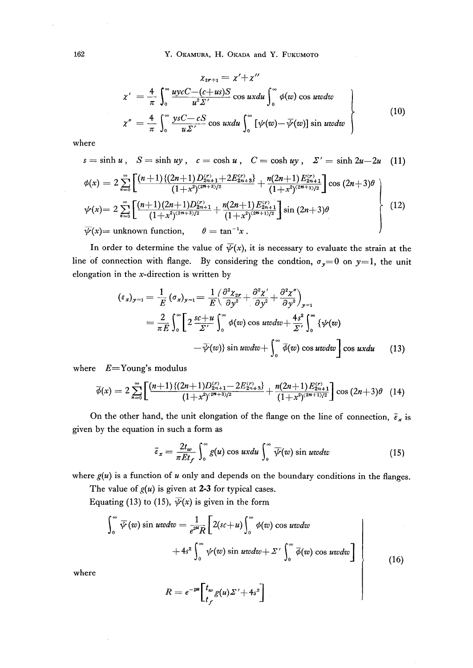$$
\chi_{2r+1} = \chi' + \chi''
$$
\n
$$
\chi' = \frac{4}{\pi} \int_0^\infty \frac{uycC - (c+us)S}{u^2 \Sigma'} \cos uxdu \int_0^\infty \phi(w) \cos uvdw
$$
\n
$$
\chi'' = \frac{4}{\pi} \int_0^\infty \frac{ysC - cS}{u \Sigma'} \cos uxdu \int_0^\infty [\psi(w) - \overline{\psi}(w)] \sin uvdw
$$
\n(10)

where

$$
s = \sinh u, \quad S = \sinh uy, \quad c = \cosh u, \quad C = \cosh uy, \quad \Sigma' = \sinh 2u - 2u \quad (11)
$$

$$
\phi(x) = 2 \sum_{n=0}^{\infty} \left[ \frac{(n+1)\{(2n+1)D_{2n+1}^{(r)} + 2E_{2n+3}^{(r)}\}}{(1+x^2)^{(2n+3)/2}} + \frac{n(2n+1)E_{2n+1}^{(r)}}{(1+x^2)^{(2n+1)/2}} \right] \cos(2n+3)\theta
$$
\n
$$
\psi(x) = 2 \sum_{n=0}^{\infty} \left[ \frac{(n+1)(2n+1)D_{2n+1}^{(r)}}{(1+x^2)^{(2n+3)/2}} + \frac{n(2n+1)E_{2n+1}^{(r)}}{(1+x^2)^{(2n+1)/2}} \right] \sin(2n+3)\theta
$$
\n
$$
\overline{\psi}(x) = \text{unknown function}, \qquad \theta = \tan^{-1}x.
$$
\n(12)

In order to determine the value of  $\overline{\psi}(x)$ , it is necessary to evaluate the strain at the line of connection with flange. By considering the condtion,  $\sigma_y = 0$  on  $y = 1$ , the unit elongation in the  $x$ -direction is written by

$$
(\varepsilon_x)_{y=1} = \frac{1}{E} (\sigma_x)_{y=1} = \frac{1}{E} \Big( \frac{\partial^2 \chi_{2r}}{\partial y^2} + \frac{\partial^2 \chi'}{\partial y^2} + \frac{\partial^2 \chi''}{\partial y^2} \Big)_{y=1}
$$
  
=  $\frac{2}{\pi E} \int_0^\infty \Big[ 2 \frac{s c + u}{\Sigma'} \int_0^\infty \phi(w) \cos uv dw + \frac{4s^2}{\Sigma'} \int_0^\infty {\psi(w)} - \overline{\psi(w)} \sin uv dw + \int_0^\infty \overline{\phi(w)} \cos uv dw \Big] \cos ux du$  (13)

where  $E = \text{Young's modulus}$ 

$$
\overline{\phi}(x) = 2 \sum_{n=0}^{\infty} \left[ \frac{(n+1)\{(2n+1)D_{2n+1}^{(r)} - 2E_{2n+3}^{(r)}\}}{(1+x^2)^{(2n+3)/2}} + \frac{n(2n+1)E_{2n+1}^{(r)}}{(1+x^2)^{(2n+1)/2}} \right] \cos(2n+3)\theta
$$
 (14)

On the other hand, the unit elongation of the flange on the line of connection,  $\tilde{\epsilon}_x$  is given by the equation in such a form as

$$
\bar{\varepsilon}_x = \frac{2t_w}{\pi E t_f} \int_0^\infty g(u) \cos ux du \int_0^\infty \overline{\psi}(w) \sin ux du \tag{15}
$$

where  $g(u)$  is a function of  $u$  only and depends on the boundary conditions in the flanges.

The value of  $g(u)$  is given at 2-3 for typical cases.

Equating (13) to (15),  $\overline{\psi}(x)$  is given in the form

$$
\int_0^\infty \overline{\psi}(w) \sin uv \, dw = \frac{1}{e^{2u}R} \left[ 2(sc+u) \int_0^\infty \phi(w) \cos uv \, dw + 4s^2 \int_0^\infty \psi(w) \sin uv \, dw + \Sigma' \int_0^\infty \overline{\phi}(w) \cos uv \, dw \right]
$$
\n(16)

where

 $\bar{\bar{z}}$ 

$$
R=e^{-2u}\bigg[t_w\overline{g(u)}\Sigma'+4s^2\bigg]
$$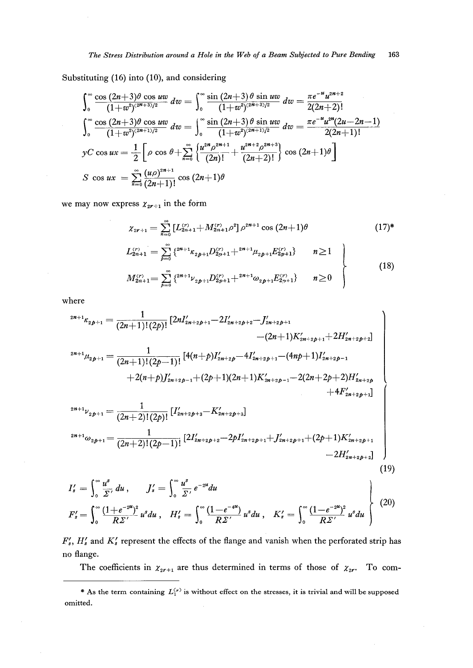Substituting  $(16)$  into  $(10)$ , and considering

$$
\int_0^\infty \frac{\cos(2n+3)\theta \cos uw}{(1+w^2)^{(2n+3)/2}} dw = \int_0^\infty \frac{\sin(2n+3)\theta \sin uw}{(1+w^2)^{(2n+3)/2}} dw = \frac{\pi e^{-u} u^{2n+2}}{2(2n+2)!}
$$
  

$$
\int_0^\infty \frac{\cos(2n+3)\theta \cos uw}{(1+w^2)^{(2n+1)/2}} dw = \int_0^\infty \frac{\sin(2n+3)\theta \sin uw}{(1+w^2)^{(2n+1)/2}} dw = \frac{\pi e^{-u} u^{2n} (2u-2n-1)}{2(2n+1)!}
$$
  

$$
yC \cos ux = \frac{1}{2} \left[ \rho \cos \theta + \sum_{n=0}^\infty \left\{ \frac{u^{2n} \rho^{2n+1}}{(2n)!} + \frac{u^{2n+2} \rho^{2n+3}}{(2n+2)!} \right\} \cos(2n+1)\theta \right]
$$
  

$$
S \cos ux = \sum_{n=0}^\infty \frac{(u\rho)^{2n+1}}{(2n+1)!} \cos(2n+1)\theta
$$

we may now express  $\chi_{2r+1}$  in the form

$$
\chi_{2r+1} = \sum_{n=0}^{\infty} \left[ L_{2n+1}^{(r)} + M_{2n+1}^{(r)} \rho^2 \right] \rho^{2n+1} \cos (2n+1) \theta \qquad (17)^*
$$
\n
$$
L_{2n+1}^{(r)} = \sum_{p=0}^{\infty} \left\{ 2^{n+1} \kappa_{2p+1} D_{2p+1}^{(r)} + 2^{n+1} \mu_{2p+1} E_{2p+1}^{(r)} \right\} \qquad n \ge 1
$$

$$
M_{2n+1}^{(r)} = \sum_{p=0}^{\infty} \left\{ {}^{2n+1} \nu_{2p+1} D_{2p+1}^{(r)} + {}^{2n+1} \omega_{2p+1} E_{2p+1}^{(r)} \right\} \qquad n \ge 0 \qquad (18)
$$

where

$$
z^{2n+1}\kappa_{2p+1} = \frac{1}{(2n+1)!(2p)!} [2nI'_{2n+2p+1} - 2I'_{2n+2p+2} - J'_{2n+2p+1} -(2n+1)K'_{2n+2p+1} + 2H'_{2n+2p+2}] -(2n+1)K'_{2n+2p+1} + 2H'_{2n+2p+2}] z^{2n+1}\mu_{2p+1} = \frac{1}{(2n+1)!(2p-1)!} [4(n+p)I'_{2n+2p} - 4I'_{2n+2p+1} - (4np+1)I'_{2n+2p-1} +(2p+1)(2n+1)K'_{2n+2p-1} - 2(2n+2p+2)H'_{2n+2p} +(4F'_{2n+2p+1}] z^{2n+1}\nu_{2p+1} = \frac{1}{(2n+2)!(2p)!} [I'_{2n+2p+3} - K'_{2n+2p+3}]
$$
  

$$
z^{2n+1}\omega_{2p+1} = \frac{1}{(2n+2)!(2p-1)!} [2I'_{2n+2p+2} - 2pI'_{2n+2p+1} + J'_{2n+2p+1} + (2p+1)K'_{2n+2p+1} - 2H'_{2n+2p+2}]
$$
(19)

$$
I'_{s} = \int_{0}^{\infty} \frac{u^{s}}{\Sigma'} du, \qquad J'_{s} = \int_{0}^{\infty} \frac{u^{s}}{\Sigma'} e^{-2u} du
$$
  

$$
F'_{s} = \int_{0}^{\infty} \frac{(1 + e^{-2u})^{2}}{R\Sigma'} u^{s} du, \quad H'_{s} = \int_{0}^{\infty} \frac{(1 - e^{-4u})}{R\Sigma'} u^{s} du, \quad K'_{s} = \int_{0}^{\infty} \frac{(1 - e^{-2u})^{2}}{R\Sigma'} u^{s} du
$$
 (20)

 $F'_s$ ,  $H'_s$  and  $K'_s$  represent the effects of the flange and vanish when the perforated strip has no flange.

The coefficients in  $\chi_{2r+1}$  are thus determined in terms of those of  $\chi_{2r}$ . To com-

<sup>\*</sup> As the term containing  $L_1^{(r)}$  is without effect on the stresses, it is trivial and will be supposed omitted.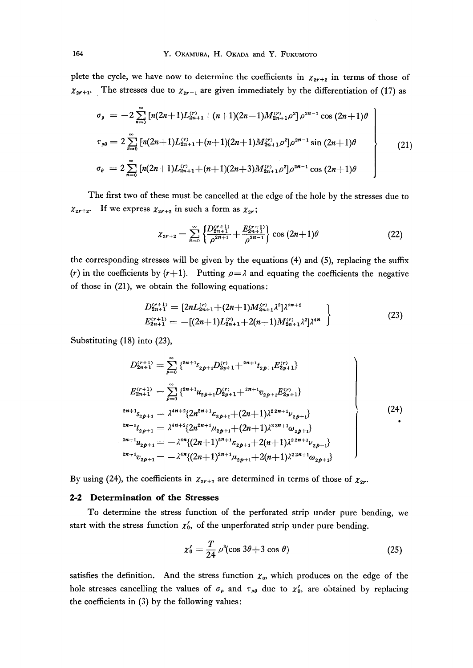plete the cycle, we have now to determine the coefficients in  $\chi_{2r+2}$  in terms of those of  $\chi_{2r+1}$ . The stresses due to  $\chi_{2r+1}$  are given immediately by the differentiation of (17) as

$$
\sigma_{\rho} = -2 \sum_{n=0}^{\infty} \left[ n(2n+1)L_{2n+1}^{(r)} + (n+1)(2n-1)M_{2n+1}^{(r)} \rho^2 \right] \rho^{2n-1} \cos (2n+1) \theta
$$
\n
$$
\tau_{\rho\theta} = 2 \sum_{n=0}^{\infty} \left[ n(2n+1)L_{2n+1}^{(r)} + (n+1)(2n+1)M_{2n+1}^{(r)} \rho^2 \right] \rho^{2n-1} \sin (2n+1) \theta
$$
\n
$$
\sigma_{\theta} = 2 \sum_{n=0}^{\infty} \left[ n(2n+1)L_{2n+1}^{(r)} + (n+1)(2n+3)M_{2n+1}^{(r)} \rho^2 \right] \rho^{2n-1} \cos (2n+1) \theta
$$
\n(21)

 The first two of these must be cancelled at the edge of the hole by the stresses due to  $\chi_{2r+2}$ . If we express  $\chi_{2r+2}$  in such a form as  $\chi_{2r}$ ;

$$
\chi_{2r+2} = \sum_{n=0}^{\infty} \left\{ \frac{D_{2n+1}^{(r+1)}}{\rho^{2n+1}} + \frac{E_{2n+1}^{(r+1)}}{\rho^{2n-1}} \right\} \cos(2n+1)\theta \tag{22}
$$

the corresponding stresses will be given by the equations (4) and (5), replacing the sufix (r) in the coefficients by  $(r+1)$ . Putting  $\rho = \lambda$  and equating the coefficients the negative of those in  $(21)$ , we obtain the following equations:

$$
D_{2n+1}^{(r+1)} = \left[2nL_{2n+1}^{(r)} + (2n+1)M_{2n+1}^{(r)}\lambda^2\right]\lambda^{4n+2}
$$
  

$$
E_{2n+1}^{(r+1)} = -\left[(2n+1)L_{2n+1}^{(r)} + 2(n+1)M_{2n+1}^{(r)}\lambda^2\right]\lambda^{4n}
$$
 (23)

Substituting (18) into (23),

$$
D_{2n+1}^{(r+1)} = \sum_{p=0}^{\infty} \{ {}^{2n+1}S_{2p+1}D_{2p+1}^{(r)} + {}^{2n+1}t_{2p+1}E_{2p+1}^{(r)} \}
$$
  
\n
$$
E_{2n+1}^{(r+1)} = \sum_{p=0}^{\infty} \{ {}^{2n+1}u_{2p+1}D_{2p+1}^{(r)} + {}^{2n+1}v_{2p+1}E_{2p+1}^{(r)} \}
$$
  
\n
$$
{}^{2n+1}S_{2p+1} = \lambda^{4n+2} \{ 2n^{2n+1} \kappa_{2p+1} + (2n+1)\lambda^{22n+1} \nu_{2p+1} \}
$$
  
\n
$$
{}^{2n+1}t_{2p+1} = \lambda^{4n+2} \{ 2n^{2n+1} \mu_{2p+1} + (2n+1)\lambda^{22n+1} \omega_{2p+1} \}
$$
  
\n
$$
{}^{2n+1}u_{2p+1} = -\lambda^{4n} \{ (2n+1)^{2n+1} \kappa_{2p+1} + 2(n+1)\lambda^{22n+1} \nu_{2p+1} \}
$$
  
\n
$$
{}^{2n+1}v_{2p+1} = -\lambda^{4n} \{ (2n+1)^{2n+1} \mu_{2p+1} + 2(n+1)\lambda^{22n+1} \omega_{2p+1} \}
$$
  
\n(24)

By using (24), the coefficients in  $\chi_{2r+2}$  are determined in terms of those of  $\chi_{2r}$ .

#### 2-2 Determination of the Stresses

 To determine the stress function of the perfbrated strip under pure bending, we start with the stress function  $\chi'_0$ , of the unperforated strip under pure bending.

$$
\chi_0' = \frac{T}{24} \rho^3 (\cos 3\theta + 3 \cos \theta) \tag{25}
$$

satisfies the definition. And the stress function  $x_0$ , which produces on the edge of the hole stresses cancelling the values of  $\sigma_{\rho}$  and  $\tau_{\rho\theta}$  due to  $\chi'_{0}$ , are obtained by replacing the coefficients in (3) by the following values: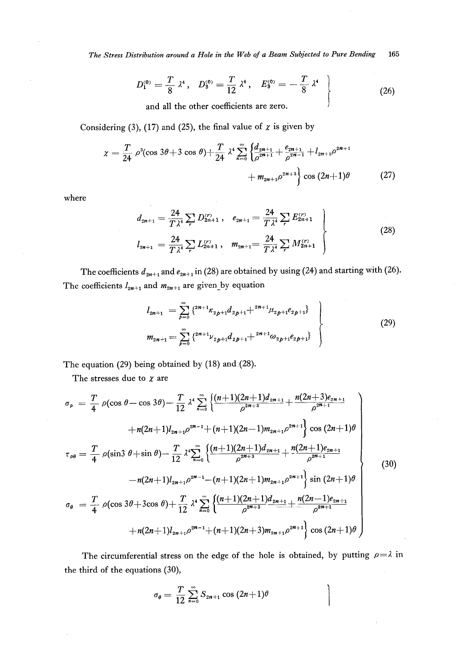The Stress Distribution around a Hole in the Web of a Beam Subjected to Pure Bending 165

$$
D_1^{(0)} = \frac{T}{8} \lambda^4, \quad D_3^{(0)} = \frac{T}{12} \lambda^6, \quad E_3^{(0)} = -\frac{T}{8} \lambda^4
$$
\nand all the other coefficients are zero.

\n
$$
(26)
$$

and all the other coefficients are zero.

Considering (3), (17) and (25), the final value of  $\chi$  is given by

$$
\chi = \frac{T}{24} \rho^3 (\cos 3\theta + 3 \cos \theta) + \frac{T}{24} \lambda^4 \sum_{n=0}^{\infty} \left\{ \frac{d_{2n+1}}{\rho^{2n+1}} + \frac{e_{2n+1}}{\rho^{2n-1}} + l_{2n+1} \rho^{2n+1} + m_{2n+1} \rho^{2n+3} \right\} \cos (2n+1) \theta \tag{27}
$$

where

$$
d_{2n+1} = \frac{24}{T\lambda^4} \sum_{r} D_{2n+1}^{(r)}, \quad e_{2n+1} = \frac{24}{T\lambda^4} \sum_{r} E_{2n+1}^{(r)} \\
 l_{2n+1} = \frac{24}{T\lambda^4} \sum_{r} L_{2n+1}^{(r)}, \quad m_{2n+1} = \frac{24}{T\lambda^4} \sum_{r} M_{2n+1}^{(r)} \n \tag{28}
$$

The coefficients  $d_{2n+1}$  and  $e_{2n+1}$  in (28) are obtained by using (24) and starting with (26). The coefficients  $l_{2n+1}$  and  $m_{2n+1}$  are given by equation

$$
l_{2n+1} = \sum_{p=0}^{\infty} \{^{2n+1} \kappa_{2p+1} d_{2p+1} + ^{2n+1} \mu_{2p+1} e_{2p+1} \}
$$
  
\n
$$
m_{2n+1} = \sum_{p=0}^{\infty} \{^{2n+1} \nu_{2p+1} d_{2p+1} + ^{2n+1} \omega_{2p+1} e_{2p+1} \}
$$
\n
$$
(29)
$$

The equation (29) being obtained by (18) and (28).

The stresses due to  $\chi$  are

$$
\sigma_{\rho} = \frac{T}{4} \rho(\cos \theta - \cos 3\theta) - \frac{T}{12} \lambda^{4} \sum_{n=0}^{\infty} \left\{ \frac{(n+1)(2n+1)d_{2n+1}}{\rho^{2n+3}} + \frac{n(2n+3)e_{2n+1}}{\rho^{2n+1}} + \frac{n(2n+3)e_{2n+1}}{\rho^{2n+1}} \right\} + n(2n+1)l_{2n+1}\rho^{2n-1} + (n+1)(2n-1)m_{2n+1}\rho^{2n+1} \left\{ \cos (2n+1)\theta \right\}
$$
\n
$$
\tau_{\rho\theta} = \frac{T}{4} \rho(\sin 3\theta + \sin \theta) - \frac{T}{12} \lambda^{4} \sum_{n=0}^{\infty} \left\{ \frac{(n+1)(2n+1)d_{2n+1}}{\rho^{2n+3}} + \frac{n(2n+1)e_{2n+1}}{\rho^{2n+1}} - \frac{n(2n+1)e_{2n+1}}{\rho^{2n+1}} \right\} \sin (2n+1)\theta
$$
\n
$$
\sigma_{\theta} = \frac{T}{4} \rho(\cos 3\theta + 3\cos \theta) + \frac{T}{12} \lambda^{4} \sum_{n=0}^{\infty} \left\{ \frac{(n+1)(2n+1)d_{2n+1}\rho^{2n+1}}{\rho^{2n+3}} \right\} \sin (2n-1)e_{2n+1} + n(2n+1)l_{2n+1}\rho^{2n-1} + (n+1)(2n+3)m_{2n+1}\rho^{2n+1} \right\} \cos (2n+1)\theta
$$
\n(30)

The circumferential stress on the edge of the hole is obtained, by putting  $\rho = \lambda$  in the third of the equations (30),

$$
\sigma_{\theta}=\frac{T}{12}\sum_{n=0}^{\infty}S_{2n+1}\cos{(2n+1)\theta}
$$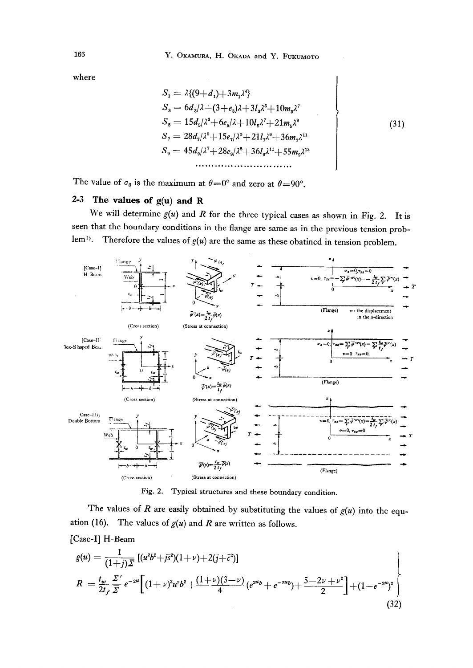where

$$
S_{1} = \lambda \{(9+d_{1})+3m_{1}\lambda^{4}\}\
$$
  
\n
$$
S_{3} = 6d_{3}/\lambda + (3+e_{3})\lambda + 3l_{3}\lambda^{5} + 10m_{3}\lambda^{7}
$$
  
\n
$$
S_{5} = 15d_{5}/\lambda^{3} + 6e_{5}/\lambda + 10l_{5}\lambda^{7} + 21m_{5}\lambda^{9}
$$
  
\n
$$
S_{7} = 28d_{7}/\lambda^{5} + 15e_{7}/\lambda^{3} + 21l_{7}\lambda^{9} + 36m_{7}\lambda^{11}
$$
  
\n
$$
S_{9} = 45d_{9}/\lambda^{7} + 28e_{9}/\lambda^{5} + 36l_{9}\lambda^{11} + 55m_{9}\lambda^{13}
$$
  
\n.................

I

The value of  $\sigma_{\theta}$  is the maximum at  $\theta = 0^{\circ}$  and zero at  $\theta = 90^{\circ}$ .

### 2-3 The values of  $g(u)$  and R

We will determine  $g(u)$  and R for the three typical cases as shown in Fig. 2. It is seen that the boundary conditions in the flange are same as in the previous tension problem<sup>1)</sup>. Therefore the values of  $g(u)$  are the same as these obatined in tension problem.



Fig. 2. Typical structures and these boundary condition.

The values of R are easily obtained by substituting the values of  $g(u)$  into the equation (16). The values of  $g(u)$  and R are written as follows.

[Case-I] H-Beam

$$
g(u) = \frac{1}{(1+j)\bar{\Sigma}} \left[ (u^2b^2+j\bar{s}^2)(1+\nu)+2(j+\bar{c}^2) \right]
$$
  
\n
$$
R = \frac{t_w}{2t_f} \frac{\Sigma'}{\bar{\Sigma}} e^{-2u} \left[ (1+\nu)^2 u^2 b^2 + \frac{(1+\nu)(3-\nu)}{4} (e^{2u}b + e^{-2u}b) + \frac{5-2\nu+\nu^2}{2} \right] + (1-e^{-2u})^2 \right]
$$
  
\n(32)

166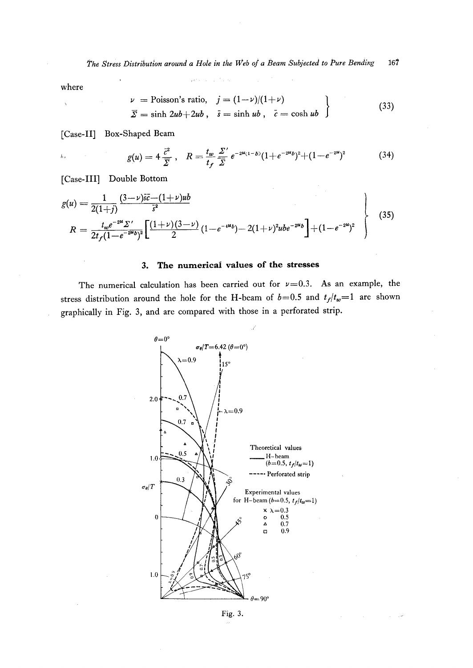where

 $\ddot{\phantom{a}}$ 

 $\bar{\lambda}_{\rm cr}$ 

$$
\begin{aligned}\n\nu &= \text{Poisson's ratio}, & \quad j = (1 - \nu)/(1 + \nu) \\
\overline{\Sigma} &= \sinh 2ub + 2ub, & \quad \overline{s} = \sinh ub, & \quad \overline{c} = \cosh ub\n\end{aligned}\n\tag{33}
$$

[Case-II] Box-Shaped Beam

$$
g(u) = 4 \frac{\bar{c}^2}{\bar{\Sigma}}, \quad R = \frac{t_w}{t_f} \frac{\Sigma'}{\bar{\Sigma}} e^{-2\mu(1-b)} (1 + e^{-2\mu b})^2 + (1 - e^{-2\mu})^2 \tag{34}
$$

[Case-III] Double Bottom

$$
g(u) = \frac{1}{2(1+j)} \frac{(3-\nu)\bar{s}\bar{c} - (1+\nu)ub}{\bar{s}^2}
$$
  
\n
$$
R = \frac{t_w e^{-2u} \Sigma'}{2t_f(1-e^{-2u}b)^2} \left[ \frac{(1+\nu)(3-\nu)}{2} (1-e^{-4u}b) - 2(1+\nu)^2 ube^{-2u}b \right] + (1-e^{-2u})^2
$$
\n(35)

#### The numerical values of the stresses 3.

The numerical calculation has been carried out for  $\nu=0.3$ . As an example, the stress distribution around the hole for the H-beam of  $b=0.5$  and  $t_f/t_w=1$  are shown graphically in Fig. 3, and are compared with those in a perforated strip.



Fig. 3.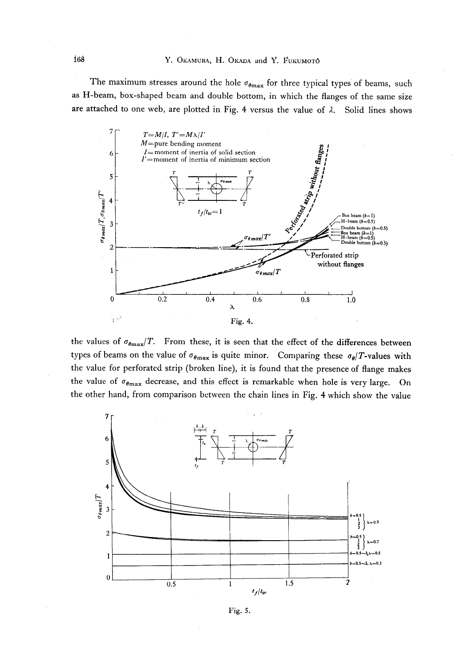The maximum stresses around the hole  $\sigma_{\theta max}$  for three typical types of beams, such as H-beam, box-shaped beam and double bottom, in which the flanges of the same size are attached to one web, are plotted in Fig. 4 versus the value of  $\lambda$ . Solid lines shows



the values of  $\sigma_{\theta max}/T$ . From these, it is seen that the effect of the differences between types of beams on the value of  $\sigma_{\theta max}$  is quite minor. Comparing these  $\sigma_{\theta}/T$ -values with the value for perforated strip (broken line), it is found that the presence of flange makes the value of  $\sigma_{\theta_{\text{max}}}$  decrease, and this effect is remarkable when hole is very large. On the other hand, from comparison between the chain lines in Fig. 4 which show the value



Fig. 5.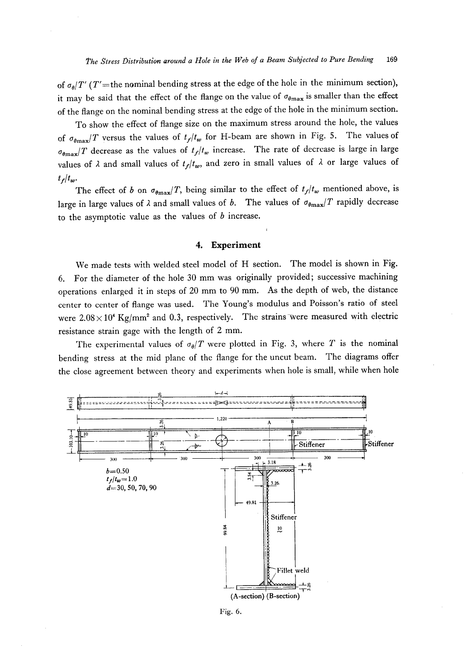of  $\sigma_{\theta}/T'$  (T'=the nominal bending stress at the edge of the hole in the minimum section), it may be said that the effect of the flange on the value of  $\sigma_{\theta max}$  is smaller than the effect of the flange on the nominal bending stress at the edge of the hole in the minimum section.

 To show the effect of flange size on the maximum stress around the hole, the values of  $\sigma_{\theta max}/T$  versus the values of  $t_f/t_w$  for H-beam are shown in Fig. 5. The values of  $\sigma_{\theta_{\text{max}}}$ T decrease as the values of  $t_f/t_w$  increase. The rate of decrease is large in large values of  $\lambda$  and small values of  $t_f/t_w$ , and zero in small values of  $\lambda$  or large values of  $t_f/t_w$ .

The effect of b on  $\sigma_{\theta max}/T$ , being similar to the effect of  $t_f/t_w$  mentioned above, is large in large values of  $\lambda$  and small values of b. The values of  $\sigma_{\theta max}/T$  rapidly decrease to the asymptotic value as the values of  $b$  increase.

#### 4. Experiment

 We made tests with welded steel model of H section. The model is shown in Fig. 6. For the diameter of the hole 30 mm was originally provided; successive machining operations enlarged it in steps of 20 mm to 90 mm. As the depth of web, the distance center to center of flange was used. The Young's modulus and Poisson's ratio of steel were  $2.08 \times 10^4$  Kg/mm<sup>2</sup> and 0.3, respectively. The strains were measured with electric resistance strain gage with the length of 2 mm.

The experimental values of  $\sigma_{\theta}/T$  were plotted in Fig. 3, where T is the nominal bending stress at the mid plane of the flange for the uncut beam. The diagrams offer the close agreement between theory and experiments when hole is small, while when hole